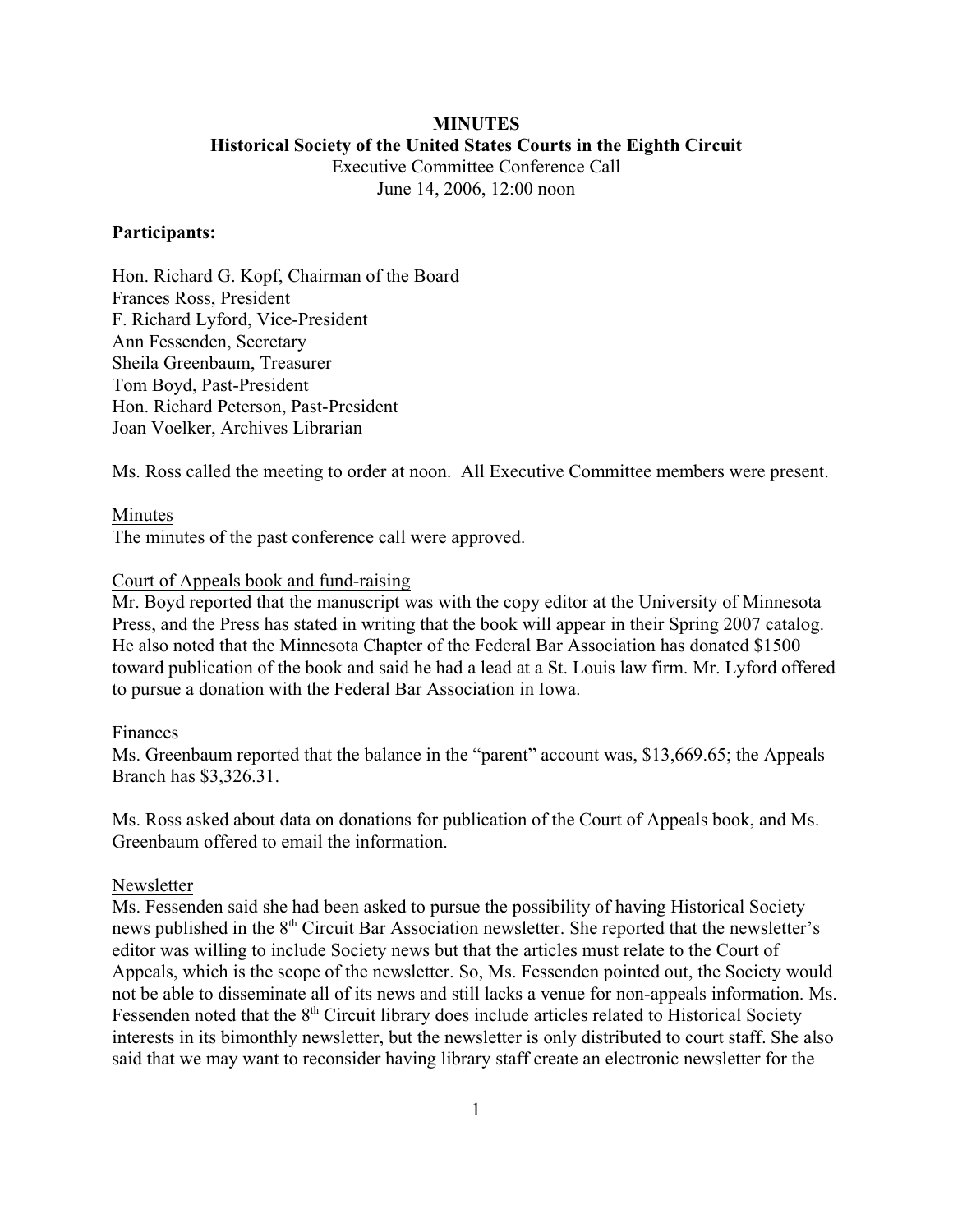# **MINUTES Historical Society of the United States Courts in the Eighth Circuit**

Executive Committee Conference Call June 14, 2006, 12:00 noon

# **Participants:**

Hon. Richard G. Kopf, Chairman of the Board Frances Ross, President F. Richard Lyford, Vice-President Ann Fessenden, Secretary Sheila Greenbaum, Treasurer Tom Boyd, Past-President Hon. Richard Peterson, Past-President Joan Voelker, Archives Librarian

Ms. Ross called the meeting to order at noon. All Executive Committee members were present.

# Minutes

The minutes of the past conference call were approved.

# Court of Appeals book and fund-raising

Mr. Boyd reported that the manuscript was with the copy editor at the University of Minnesota Press, and the Press has stated in writing that the book will appear in their Spring 2007 catalog. He also noted that the Minnesota Chapter of the Federal Bar Association has donated \$1500 toward publication of the book and said he had a lead at a St. Louis law firm. Mr. Lyford offered to pursue a donation with the Federal Bar Association in Iowa.

#### Finances

Ms. Greenbaum reported that the balance in the "parent" account was, \$13,669.65; the Appeals Branch has \$3,326.31.

Ms. Ross asked about data on donations for publication of the Court of Appeals book, and Ms. Greenbaum offered to email the information.

#### Newsletter

Ms. Fessenden said she had been asked to pursue the possibility of having Historical Society news published in the 8<sup>th</sup> Circuit Bar Association newsletter. She reported that the newsletter's editor was willing to include Society news but that the articles must relate to the Court of Appeals, which is the scope of the newsletter. So, Ms. Fessenden pointed out, the Society would not be able to disseminate all of its news and still lacks a venue for non-appeals information. Ms. Fessenden noted that the 8<sup>th</sup> Circuit library does include articles related to Historical Society interests in its bimonthly newsletter, but the newsletter is only distributed to court staff. She also said that we may want to reconsider having library staff create an electronic newsletter for the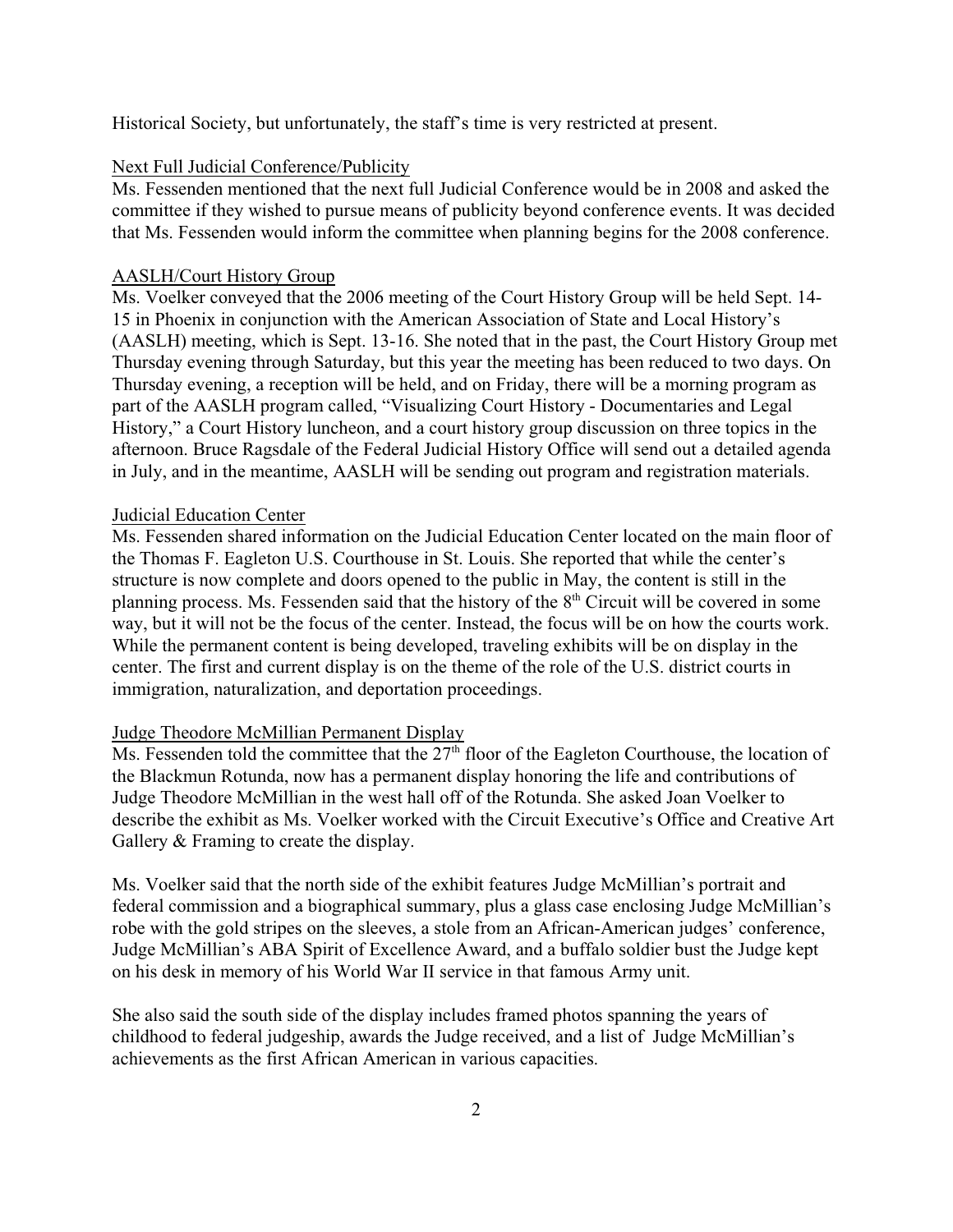Historical Society, but unfortunately, the staff's time is very restricted at present.

# Next Full Judicial Conference/Publicity

Ms. Fessenden mentioned that the next full Judicial Conference would be in 2008 and asked the committee if they wished to pursue means of publicity beyond conference events. It was decided that Ms. Fessenden would inform the committee when planning begins for the 2008 conference.

# AASLH/Court History Group

Ms. Voelker conveyed that the 2006 meeting of the Court History Group will be held Sept. 14- 15 in Phoenix in conjunction with the American Association of State and Local History's (AASLH) meeting, which is Sept. 13-16. She noted that in the past, the Court History Group met Thursday evening through Saturday, but this year the meeting has been reduced to two days. On Thursday evening, a reception will be held, and on Friday, there will be a morning program as part of the AASLH program called, "Visualizing Court History - Documentaries and Legal History," a Court History luncheon, and a court history group discussion on three topics in the afternoon. Bruce Ragsdale of the Federal Judicial History Office will send out a detailed agenda in July, and in the meantime, AASLH will be sending out program and registration materials.

## Judicial Education Center

Ms. Fessenden shared information on the Judicial Education Center located on the main floor of the Thomas F. Eagleton U.S. Courthouse in St. Louis. She reported that while the center's structure is now complete and doors opened to the public in May, the content is still in the planning process. Ms. Fessenden said that the history of the  $8<sup>th</sup>$  Circuit will be covered in some way, but it will not be the focus of the center. Instead, the focus will be on how the courts work. While the permanent content is being developed, traveling exhibits will be on display in the center. The first and current display is on the theme of the role of the U.S. district courts in immigration, naturalization, and deportation proceedings.

# Judge Theodore McMillian Permanent Display

Ms. Fessenden told the committee that the  $27<sup>th</sup>$  floor of the Eagleton Courthouse, the location of the Blackmun Rotunda, now has a permanent display honoring the life and contributions of Judge Theodore McMillian in the west hall off of the Rotunda. She asked Joan Voelker to describe the exhibit as Ms. Voelker worked with the Circuit Executive's Office and Creative Art Gallery & Framing to create the display.

Ms. Voelker said that the north side of the exhibit features Judge McMillian's portrait and federal commission and a biographical summary, plus a glass case enclosing Judge McMillian's robe with the gold stripes on the sleeves, a stole from an African-American judges' conference, Judge McMillian's ABA Spirit of Excellence Award, and a buffalo soldier bust the Judge kept on his desk in memory of his World War II service in that famous Army unit.

She also said the south side of the display includes framed photos spanning the years of childhood to federal judgeship, awards the Judge received, and a list of Judge McMillian's achievements as the first African American in various capacities.